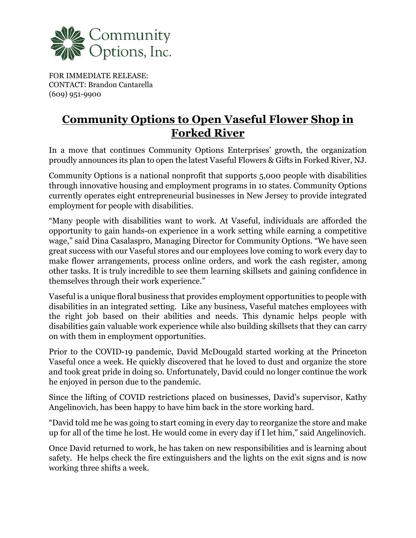

FOR IMMEDIATE RELEASE: CONTACT: Brandon Cantarella (609) 951-9900

## **Community Options to Open Vaseful Flower Shop in Forked River**

In a move that continues Community Options Enterprises' growth, the organization proudly announces its plan to open the latest Vaseful Flowers & Gifts in Forked River, NJ.

Community Options is a national nonprofit that supports 5,000 people with disabilities through innovative housing and employment programs in 10 states. Community Options currently operates eight entrepreneurial businesses in New Jersey to provide integrated employment for people with disabilities.

"Many people with disabilities want to work. At Vaseful, individuals are afforded the opportunity to gain hands-on experience in a work setting while earning a competitive wage," said Dina Casalaspro, Managing Director for Community Options. "We have seen great success with our Vaseful stores and our employees love coming to work every day to make flower arrangements, process online orders, and work the cash register, among other tasks. It is truly incredible to see them learning skillsets and gaining confidence in themselves through their work experience."

Vaseful is a unique floral business that provides employment opportunities to people with disabilities in an integrated setting. Like any business, Vaseful matches employees with the right job based on their abilities and needs. This dynamic helps people with disabilities gain valuable work experience while also building skillsets that they can carry on with them in employment opportunities.

Prior to the COVID-19 pandemic, David McDougald started working at the Princeton Vaseful once a week. He quickly discovered that he loved to dust and organize the store and took great pride in doing so. Unfortunately, David could no longer continue the work he enjoyed in person due to the pandemic.

Since the lifting of COVID restrictions placed on businesses, David's supervisor, Kathy Angelinovich, has been happy to have him back in the store working hard.

"David told me he was going to start coming in every day to reorganize the store and make up for all of the time he lost. He would come in every day if I let him," said Angelinovich.

Once David returned to work, he has taken on new responsibilities and is learning about safety. He helps check the fire extinguishers and the lights on the exit signs and is now working three shifts a week.